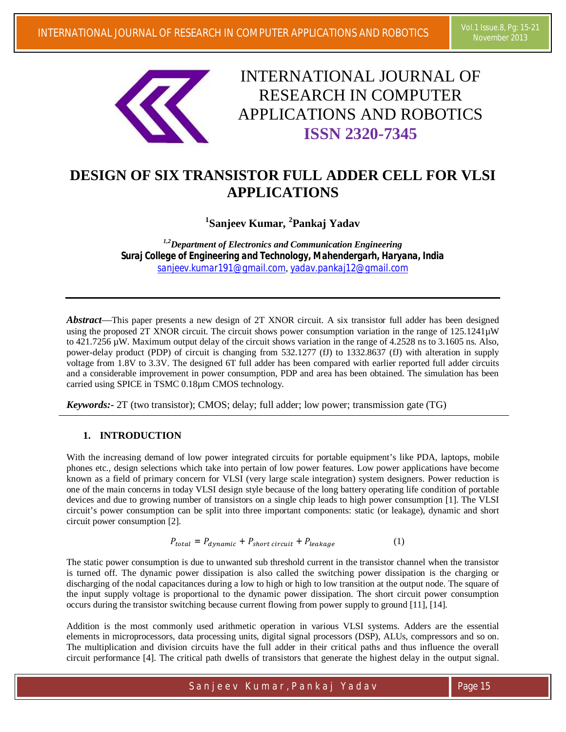

INTERNATIONAL JOURNAL OF RESEARCH IN COMPUTER APPLICATIONS AND ROBOTICS **ISSN 2320-7345**

# **DESIGN OF SIX TRANSISTOR FULL ADDER CELL FOR VLSI APPLICATIONS**

**1 Sanjeev Kumar, <sup>2</sup> Pankaj Yadav**

*1,2Department of Electronics and Communication Engineering Suraj College of Engineering and Technology, Mahendergarh, Haryana, India sanjeev.kumar191@gmail.com, yadav.pankaj12@gmail.com*

*Abstract*—This paper presents a new design of 2T XNOR circuit. A six transistor full adder has been designed using the proposed 2T XNOR circuit. The circuit shows power consumption variation in the range of 125.1241µW to 421.7256 µW. Maximum output delay of the circuit shows variation in the range of 4.2528 ns to 3.1605 ns. Also, power-delay product (PDP) of circuit is changing from 532.1277 (fJ) to 1332.8637 (fJ) with alteration in supply voltage from 1.8V to 3.3V. The designed 6T full adder has been compared with earlier reported full adder circuits and a considerable improvement in power consumption, PDP and area has been obtained. The simulation has been carried using SPICE in TSMC 0.18µm CMOS technology.

*Keywords:-* 2T (two transistor); CMOS; delay; full adder; low power; transmission gate (TG)

# **1. INTRODUCTION**

With the increasing demand of low power integrated circuits for portable equipment's like PDA, laptops, mobile phones etc., design selections which take into pertain of low power features. Low power applications have become known as a field of primary concern for VLSI (very large scale integration) system designers. Power reduction is one of the main concerns in today VLSI design style because of the long battery operating life condition of portable devices and due to growing number of transistors on a single chip leads to high power consumption [1]. The VLSI circuit's power consumption can be split into three important components: static (or leakage), dynamic and short circuit power consumption [2].

$$
P_{total} = P_{dynamic} + P_{short\ circuit} + P_{leakage}
$$
 (1)

The static power consumption is due to unwanted sub threshold current in the transistor channel when the transistor is turned off. The dynamic power dissipation is also called the switching power dissipation is the charging or discharging of the nodal capacitances during a low to high or high to low transition at the output node. The square of the input supply voltage is proportional to the dynamic power dissipation. The short circuit power consumption occurs during the transistor switching because current flowing from power supply to ground [11], [14].

Addition is the most commonly used arithmetic operation in various VLSI systems. Adders are the essential elements in microprocessors, data processing units, digital signal processors (DSP), ALUs, compressors and so on. The multiplication and division circuits have the full adder in their critical paths and thus influence the overall circuit performance [4]. The critical path dwells of transistors that generate the highest delay in the output signal.

Sanjeev Kumar, Pankaj Yadav Page 15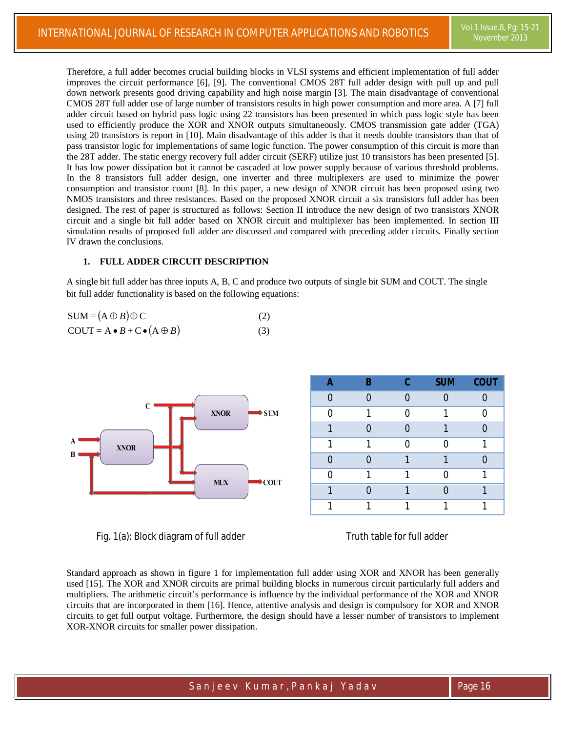Therefore, a full adder becomes crucial building blocks in VLSI systems and efficient implementation of full adder improves the circuit performance [6], [9]. The conventional CMOS 28T full adder design with pull up and pull down network presents good driving capability and high noise margin [3]. The main disadvantage of conventional CMOS 28T full adder use of large number of transistors results in high power consumption and more area. A [7] full adder circuit based on hybrid pass logic using 22 transistors has been presented in which pass logic style has been used to efficiently produce the XOR and XNOR outputs simultaneously. CMOS transmission gate adder (TGA) using 20 transistors is report in [10]. Main disadvantage of this adder is that it needs double transistors than that of pass transistor logic for implementations of same logic function. The power consumption of this circuit is more than the 28T adder. The static energy recovery full adder circuit (SERF) utilize just 10 transistors has been presented [5]. It has low power dissipation but it cannot be cascaded at low power supply because of various threshold problems. In the 8 transistors full adder design, one inverter and three multiplexers are used to minimize the power consumption and transistor count [8]. In this paper, a new design of XNOR circuit has been proposed using two NMOS transistors and three resistances. Based on the proposed XNOR circuit a six transistors full adder has been designed. The rest of paper is structured as follows: Section II introduce the new design of two transistors XNOR circuit and a single bit full adder based on XNOR circuit and multiplexer has been implemented. In section III simulation results of proposed full adder are discussed and compared with preceding adder circuits. Finally section IV drawn the conclusions.

### **1. FULL ADDER CIRCUIT DESCRIPTION**

A single bit full adder has three inputs A, B, C and produce two outputs of single bit SUM and COUT. The single bit full adder functionality is based on the following equations:

| $SUM = (A \oplus B) \oplus C$                                                                 |     |
|-----------------------------------------------------------------------------------------------|-----|
| $\text{COUT} = \mathbf{A} \cdot \mathbf{B} + \mathbf{C} \cdot (\mathbf{A} \oplus \mathbf{B})$ | (3) |



Fig. 1(a): Block diagram of full adder Truth table for full adder

Standard approach as shown in figure 1 for implementation full adder using XOR and XNOR has been generally used [15]. The XOR and XNOR circuits are primal building blocks in numerous circuit particularly full adders and multipliers. The arithmetic circuit's performance is influence by the individual performance of the XOR and XNOR circuits that are incorporated in them [16]. Hence, attentive analysis and design is compulsory for XOR and XNOR circuits to get full output voltage. Furthermore, the design should have a lesser number of transistors to implement XOR-XNOR circuits for smaller power dissipation.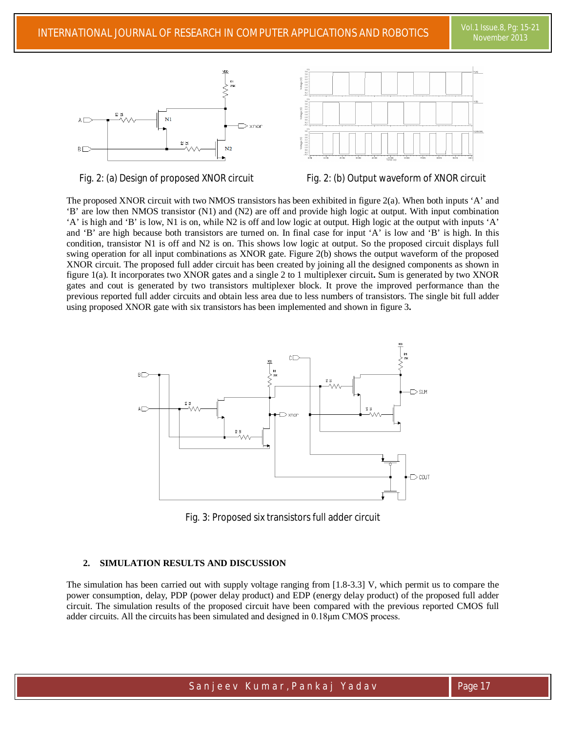



Fig. 2: (a) Design of proposed XNOR circuit Fig. 2: (b) Output waveform of XNOR circuit

The proposed XNOR circuit with two NMOS transistors has been exhibited in figure 2(a). When both inputs 'A' and 'B' are low then NMOS transistor (N1) and (N2) are off and provide high logic at output. With input combination 'A' is high and 'B' is low, N1 is on, while N2 is off and low logic at output. High logic at the output with inputs 'A' and 'B' are high because both transistors are turned on. In final case for input 'A' is low and 'B' is high. In this condition, transistor N1 is off and N2 is on. This shows low logic at output. So the proposed circuit displays full swing operation for all input combinations as XNOR gate. Figure 2(b) shows the output waveform of the proposed XNOR circuit. The proposed full adder circuit has been created by joining all the designed components as shown in figure 1(a). It incorporates two XNOR gates and a single 2 to 1 multiplexer circuit**.** Sum is generated by two XNOR gates and cout is generated by two transistors multiplexer block. It prove the improved performance than the previous reported full adder circuits and obtain less area due to less numbers of transistors. The single bit full adder using proposed XNOR gate with six transistors has been implemented and shown in figure 3**.**



Fig. 3: Proposed six transistors full adder circuit

#### **2. SIMULATION RESULTS AND DISCUSSION**

The simulation has been carried out with supply voltage ranging from [1.8-3.3] V, which permit us to compare the power consumption, delay, PDP (power delay product) and EDP (energy delay product) of the proposed full adder circuit. The simulation results of the proposed circuit have been compared with the previous reported CMOS full adder circuits. All the circuits has been simulated and designed in 0.18μm CMOS process.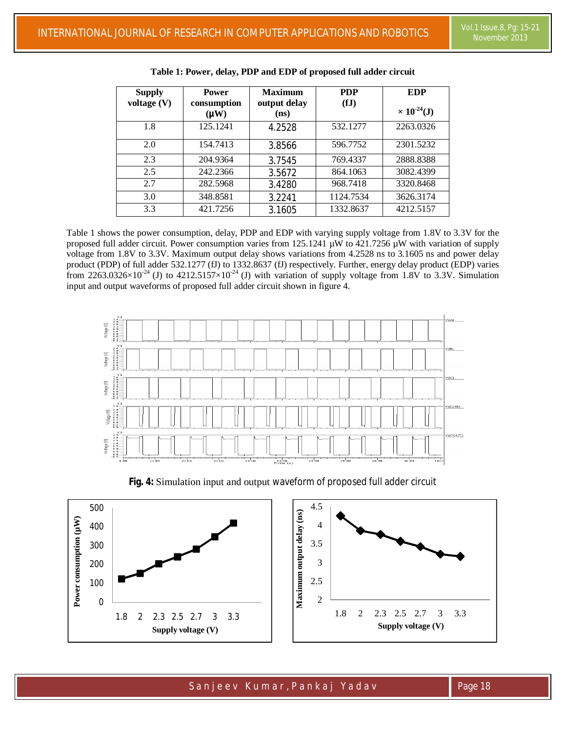| <b>Supply</b> | <b>Power</b>        | <b>Maximum</b>       | <b>PDP</b> | <b>EDP</b>                     |
|---------------|---------------------|----------------------|------------|--------------------------------|
| voltage $(V)$ | consumption<br>(WW) | output delay<br>(ns) | (fJ)       | $\times$ 10 <sup>-24</sup> (J) |
| 1.8           | 125.1241            | 4.2528               | 532.1277   | 2263.0326                      |
| 2.0           | 154.7413            | 3.8566               | 596.7752   | 2301.5232                      |
| 2.3           | 204.9364            | 3.7545               | 769.4337   | 2888.8388                      |
| 2.5           | 242.2366            | 3.5672               | 864.1063   | 3082.4399                      |
| 2.7           | 282.5968            | 3.4280               | 968.7418   | 3320.8468                      |
| 3.0           | 348.8581            | 3.2241               | 1124.7534  | 3626.3174                      |
| 3.3           | 421.7256            | 3.1605               | 1332.8637  | 4212.5157                      |

Table 1 shows the power consumption, delay, PDP and EDP with varying supply voltage from 1.8V to 3.3V for the proposed full adder circuit. Power consumption varies from  $125.1241 \mu W$  to  $421.7256 \mu W$  with variation of supply voltage from 1.8V to 3.3V. Maximum output delay shows variations from 4.2528 ns to 3.1605 ns and power delay product (PDP) of full adder 532.1277 (fJ) to 1332.8637 (fJ) respectively. Further, energy delay product (EDP) varies from 2263.0326×10<sup>-24</sup> (J) to 4212.5157×10<sup>-24</sup> (J) with variation of supply voltage from 1.8V to 3.3V. Simulation input and output waveforms of proposed full adder circuit shown in figure 4.



**Fig. 4:** Simulation input and output waveform of proposed full adder circuit



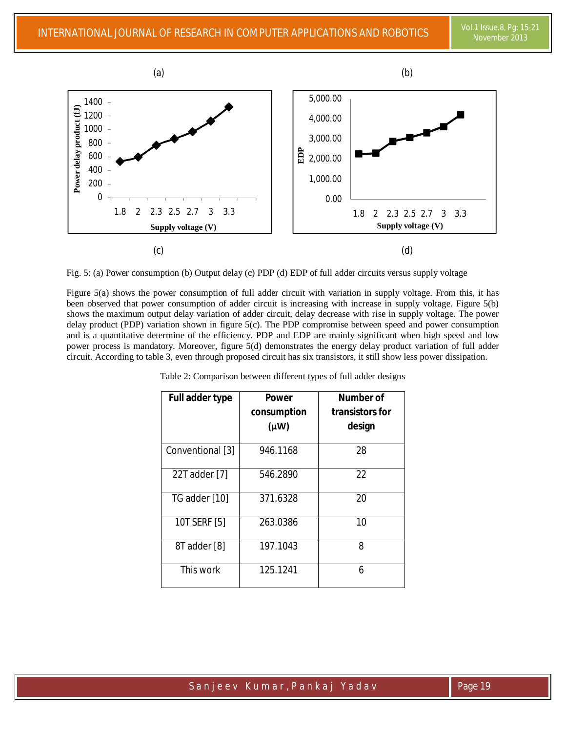

Fig. 5: (a) Power consumption (b) Output delay (c) PDP (d) EDP of full adder circuits versus supply voltage

Figure 5(a) shows the power consumption of full adder circuit with variation in supply voltage. From this, it has been observed that power consumption of adder circuit is increasing with increase in supply voltage. Figure 5(b) shows the maximum output delay variation of adder circuit, delay decrease with rise in supply voltage. The power delay product (PDP) variation shown in figure 5(c). The PDP compromise between speed and power consumption and is a quantitative determine of the efficiency. PDP and EDP are mainly significant when high speed and low power process is mandatory. Moreover, figure 5(d) demonstrates the energy delay product variation of full adder circuit. According to table 3, even through proposed circuit has six transistors, it still show less power dissipation.

| Full adder type  | <b>Power</b><br>consumption<br>$(\mu W)$ | Number of<br>transistors for<br>design |
|------------------|------------------------------------------|----------------------------------------|
| Conventional [3] | 946.1168                                 | 28                                     |
| 22T adder [7]    | 546.2890                                 | 22                                     |
| TG adder [10]    | 371.6328                                 | 20                                     |
| 10T SERF [5]     | 263.0386                                 | 10                                     |
| 8T adder [8]     | 197.1043                                 | 8                                      |
| This work        | 125.1241                                 | 6                                      |

Table 2: Comparison between different types of full adder designs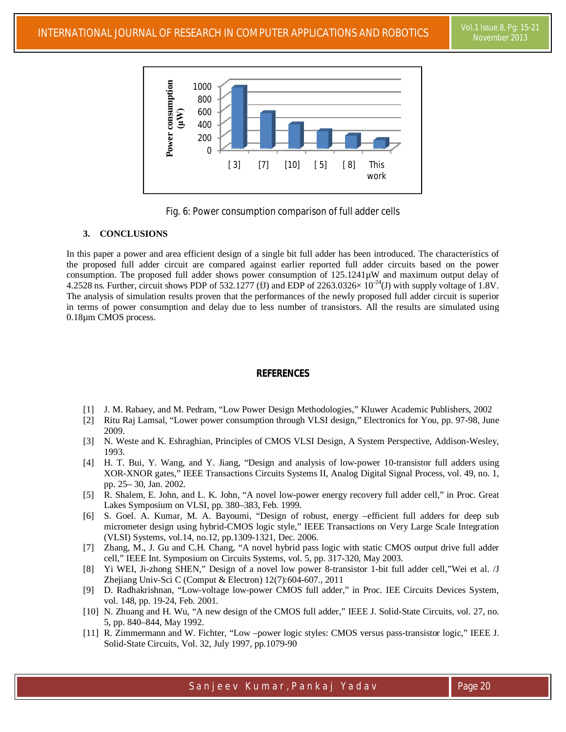

Fig. 6: Power consumption comparison of full adder cells

## **3. CONCLUSIONS**

In this paper a power and area efficient design of a single bit full adder has been introduced. The characteristics of the proposed full adder circuit are compared against earlier reported full adder circuits based on the power consumption. The proposed full adder shows power consumption of 125.1241µW and maximum output delay of 4.2528 ns. Further, circuit shows PDP of 532.1277 (fJ) and EDP of 2263.0326 $\times 10^{-24}$ (J) with supply voltage of 1.8V. The analysis of simulation results proven that the performances of the newly proposed full adder circuit is superior in terms of power consumption and delay due to less number of transistors. All the results are simulated using 0.18µm CMOS process.

# **REFERENCES**

- [1] J. M. Rabaey, and M. Pedram, "Low Power Design Methodologies," Kluwer Academic Publishers, 2002
- [2] Ritu Raj Lamsal, "Lower power consumption through VLSI design," Electronics for You, pp. 97-98, June 2009.
- [3] N. Weste and K. Eshraghian, Principles of CMOS VLSI Design, A System Perspective, Addison-Wesley, 1993.
- [4] H. T. Bui, Y. Wang, and Y. Jiang, "Design and analysis of low-power 10-transistor full adders using XOR-XNOR gates," IEEE Transactions Circuits Systems II, Analog Digital Signal Process, vol. 49, no. 1, pp. 25– 30, Jan. 2002.
- [5] R. Shalem, E. John, and L. K. John, "A novel low-power energy recovery full adder cell," in Proc. Great Lakes Symposium on VLSI, pp. 380–383, Feb. 1999.
- [6] S. Goel. A. Kumar, M. A. Bayoumi, "Design of robust, energy –efficient full adders for deep sub micrometer design using hybrid-CMOS logic style," IEEE Transactions on Very Large Scale Integration (VLSI) Systems, vol.14, no.12, pp.1309-1321, Dec. 2006.
- [7] Zhang, M., J. Gu and C.H. Chang, "A novel hybrid pass logic with static CMOS output drive full adder cell," IEEE Int. Symposium on Circuits Systems, vol. 5, pp. 317-320, May 2003.
- [8] Yi WEI, Ji-zhong SHEN," Design of a novel low power 8-transistor 1-bit full adder cell,"Wei et al. /J Zhejiang Univ-Sci C (Comput & Electron) 12(7):604-607., 2011
- [9] D. Radhakrishnan, "Low-voltage low-power CMOS full adder," in Proc. IEE Circuits Devices System, vol. 148, pp. 19-24, Feb. 2001.
- [10] N. Zhuang and H. Wu, "A new design of the CMOS full adder," IEEE J. Solid-State Circuits, vol. 27, no. 5, pp. 840–844, May 1992.
- [11] R. Zimmermann and W. Fichter, "Low –power logic styles: CMOS versus pass-transistor logic," IEEE J. Solid-State Circuits, Vol. 32, July 1997, pp.1079-90

Sanjeev Kumar, Pankaj Yadav Page 20